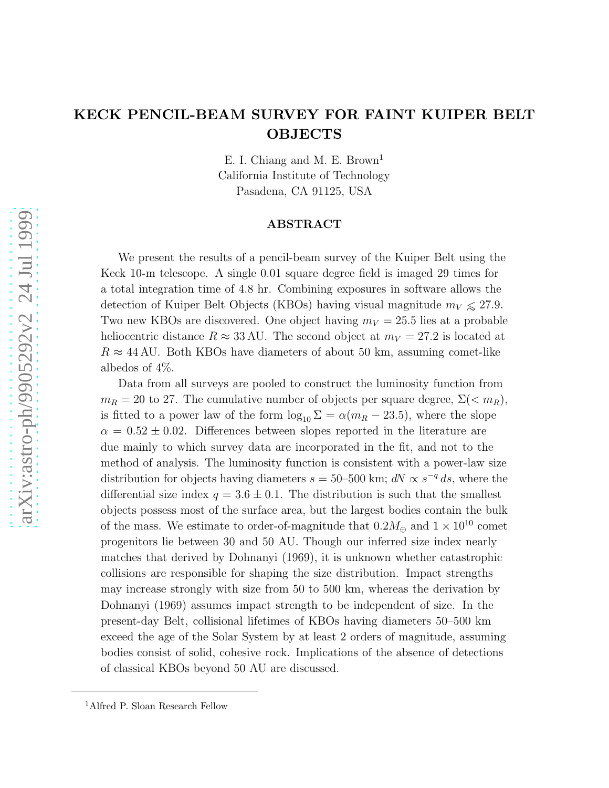# KECK PENCIL-BEAM SURVEY FOR FAINT KUIPER BELT **OBJECTS**

E. I. Chiang and M. E. Brown<sup>1</sup> California Institute of Technology Pasadena, CA 91125, USA

# ABSTRACT

We present the results of a pencil-beam survey of the Kuiper Belt using the Keck 10-m telescope. A single 0.01 square degree field is imaged 29 times for a total integration time of 4.8 hr. Combining exposures in software allows the detection of Kuiper Belt Objects (KBOs) having visual magnitude  $m_V \le 27.9$ . Two new KBOs are discovered. One object having  $m_V = 25.5$  lies at a probable heliocentric distance  $R \approx 33$  AU. The second object at  $m_V = 27.2$  is located at  $R \approx 44$  AU. Both KBOs have diameters of about 50 km, assuming comet-like albedos of 4%.

Data from all surveys are pooled to construct the luminosity function from  $m_R = 20$  to 27. The cumulative number of objects per square degree,  $\Sigma \langle m_R \rangle$ , is fitted to a power law of the form  $\log_{10} \Sigma = \alpha (m_R - 23.5)$ , where the slope  $\alpha = 0.52 \pm 0.02$ . Differences between slopes reported in the literature are due mainly to which survey data are incorporated in the fit, and not to the method of analysis. The luminosity function is consistent with a power-law size distribution for objects having diameters  $s = 50$ –500 km;  $dN \propto s^{-q} ds$ , where the differential size index  $q = 3.6 \pm 0.1$ . The distribution is such that the smallest objects possess most of the surface area, but the largest bodies contain the bulk of the mass. We estimate to order-of-magnitude that  $0.2M_\oplus$  and  $1\times10^{10}$  comet progenitors lie between 30 and 50 AU. Though our inferred size index nearly matches that derived by Dohnanyi (1969), it is unknown whether catastrophic collisions are responsible for shaping the size distribution. Impact strengths may increase strongly with size from 50 to 500 km, whereas the derivation by Dohnanyi (1969) assumes impact strength to be independent of size. In the present-day Belt, collisional lifetimes of KBOs having diameters 50–500 km exceed the age of the Solar System by at least 2 orders of magnitude, assuming bodies consist of solid, cohesive rock. Implications of the absence of detections of classical KBOs beyond 50 AU are discussed.

<sup>&</sup>lt;sup>1</sup>Alfred P. Sloan Research Fellow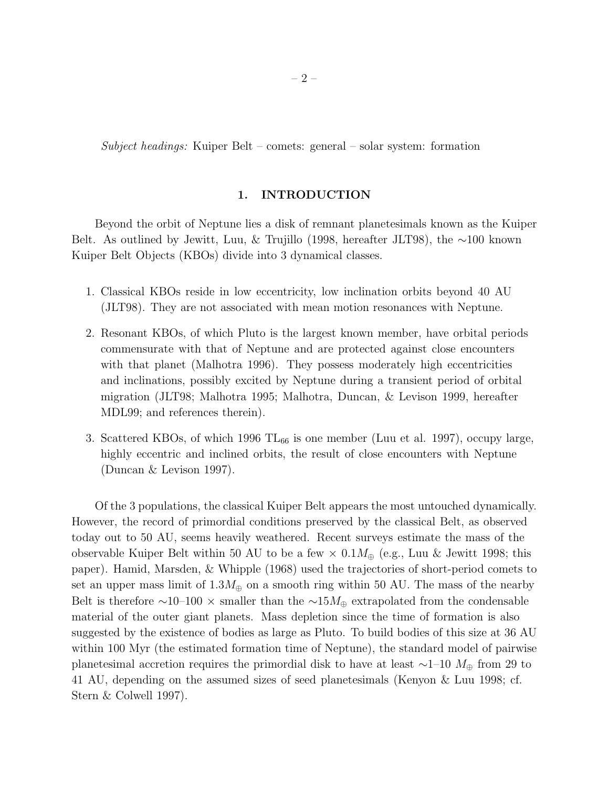Subject headings: Kuiper Belt – comets: general – solar system: formation

# 1. INTRODUCTION

Beyond the orbit of Neptune lies a disk of remnant planetesimals known as the Kuiper Belt. As outlined by Jewitt, Luu, & Trujillo (1998, hereafter JLT98), the ∼100 known Kuiper Belt Objects (KBOs) divide into 3 dynamical classes.

- 1. Classical KBOs reside in low eccentricity, low inclination orbits beyond 40 AU (JLT98). They are not associated with mean motion resonances with Neptune.
- 2. Resonant KBOs, of which Pluto is the largest known member, have orbital periods commensurate with that of Neptune and are protected against close encounters with that planet (Malhotra 1996). They possess moderately high eccentricities and inclinations, possibly excited by Neptune during a transient period of orbital migration (JLT98; Malhotra 1995; Malhotra, Duncan, & Levison 1999, hereafter MDL99; and references therein).
- 3. Scattered KBOs, of which 1996  $TL_{66}$  is one member (Luu et al. 1997), occupy large, highly eccentric and inclined orbits, the result of close encounters with Neptune (Duncan & Levison 1997).

Of the 3 populations, the classical Kuiper Belt appears the most untouched dynamically. However, the record of primordial conditions preserved by the classical Belt, as observed today out to 50 AU, seems heavily weathered. Recent surveys estimate the mass of the observable Kuiper Belt within 50 AU to be a few  $\times$  0.1 $M_{\oplus}$  (e.g., Luu & Jewitt 1998; this paper). Hamid, Marsden, & Whipple (1968) used the trajectories of short-period comets to set an upper mass limit of  $1.3M_{\oplus}$  on a smooth ring within 50 AU. The mass of the nearby Belt is therefore ~10–100 × smaller than the ~15 $M_{\oplus}$  extrapolated from the condensable material of the outer giant planets. Mass depletion since the time of formation is also suggested by the existence of bodies as large as Pluto. To build bodies of this size at 36 AU within 100 Myr (the estimated formation time of Neptune), the standard model of pairwise planetesimal accretion requires the primordial disk to have at least  $\sim$ 1–10  $M_{\oplus}$  from 29 to 41 AU, depending on the assumed sizes of seed planetesimals (Kenyon & Luu 1998; cf. Stern & Colwell 1997).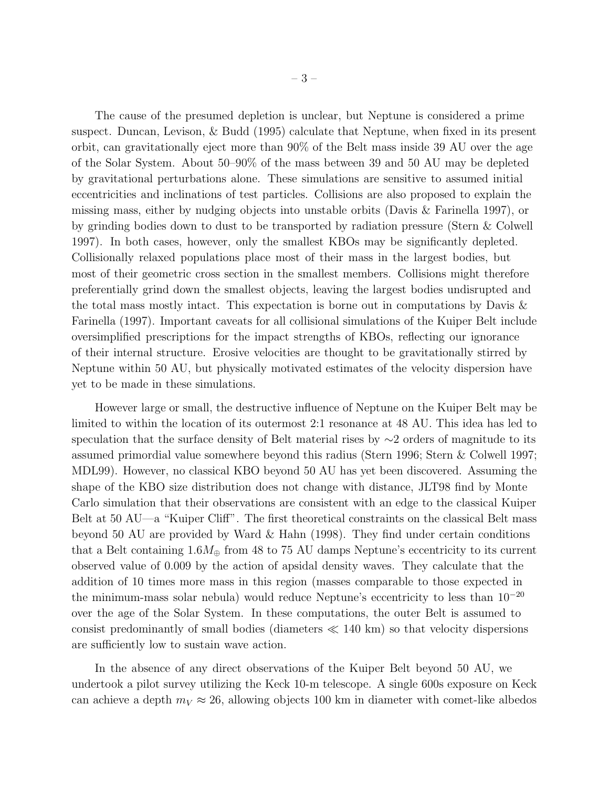The cause of the presumed depletion is unclear, but Neptune is considered a prime suspect. Duncan, Levison, & Budd (1995) calculate that Neptune, when fixed in its present orbit, can gravitationally eject more than 90% of the Belt mass inside 39 AU over the age of the Solar System. About 50–90% of the mass between 39 and 50 AU may be depleted by gravitational perturbations alone. These simulations are sensitive to assumed initial eccentricities and inclinations of test particles. Collisions are also proposed to explain the missing mass, either by nudging objects into unstable orbits (Davis & Farinella 1997), or by grinding bodies down to dust to be transported by radiation pressure (Stern & Colwell 1997). In both cases, however, only the smallest KBOs may be significantly depleted. Collisionally relaxed populations place most of their mass in the largest bodies, but most of their geometric cross section in the smallest members. Collisions might therefore preferentially grind down the smallest objects, leaving the largest bodies undisrupted and the total mass mostly intact. This expectation is borne out in computations by Davis & Farinella (1997). Important caveats for all collisional simulations of the Kuiper Belt include oversimplified prescriptions for the impact strengths of KBOs, reflecting our ignorance of their internal structure. Erosive velocities are thought to be gravitationally stirred by Neptune within 50 AU, but physically motivated estimates of the velocity dispersion have yet to be made in these simulations.

However large or small, the destructive influence of Neptune on the Kuiper Belt may be limited to within the location of its outermost 2:1 resonance at 48 AU. This idea has led to speculation that the surface density of Belt material rises by ∼2 orders of magnitude to its assumed primordial value somewhere beyond this radius (Stern 1996; Stern & Colwell 1997; MDL99). However, no classical KBO beyond 50 AU has yet been discovered. Assuming the shape of the KBO size distribution does not change with distance, JLT98 find by Monte Carlo simulation that their observations are consistent with an edge to the classical Kuiper Belt at 50 AU—a "Kuiper Cliff". The first theoretical constraints on the classical Belt mass beyond 50 AU are provided by Ward & Hahn (1998). They find under certain conditions that a Belt containing  $1.6M_{\oplus}$  from 48 to 75 AU damps Neptune's eccentricity to its current observed value of 0.009 by the action of apsidal density waves. They calculate that the addition of 10 times more mass in this region (masses comparable to those expected in the minimum-mass solar nebula) would reduce Neptune's eccentricity to less than  $10^{-20}$ over the age of the Solar System. In these computations, the outer Belt is assumed to consist predominantly of small bodies (diameters  $\ll 140 \text{ km}$ ) so that velocity dispersions are sufficiently low to sustain wave action.

In the absence of any direct observations of the Kuiper Belt beyond 50 AU, we undertook a pilot survey utilizing the Keck 10-m telescope. A single 600s exposure on Keck can achieve a depth  $m_V \approx 26$ , allowing objects 100 km in diameter with comet-like albedos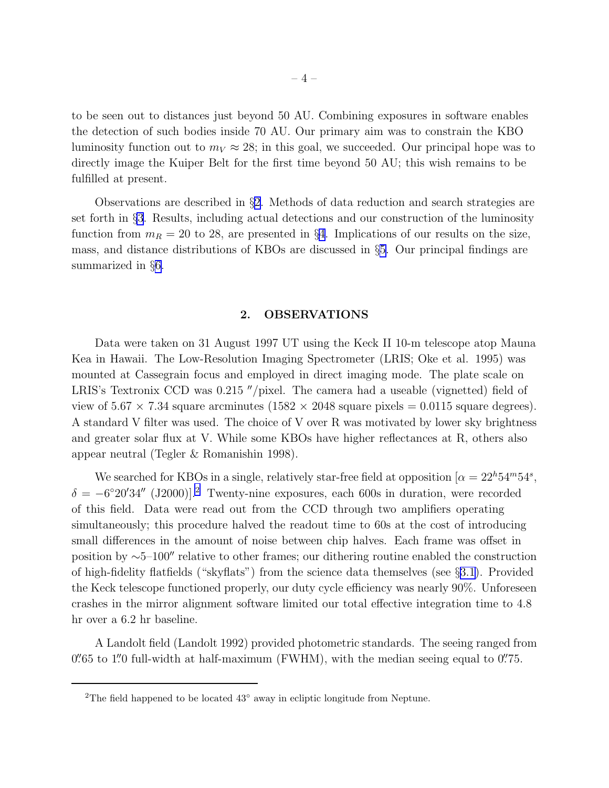to be seen out to distances just beyond 50 AU. Combining exposures in software enables the detection of such bodies inside 70 AU. Our primary aim was to constrain the KBO luminosity function out to  $m_V \approx 28$ ; in this goal, we succeeded. Our principal hope was to directly image the Kuiper Belt for the first time beyond 50 AU; this wish remains to be fulfilled at present.

Observations are described in §2. Methods of data reduction and search strategies are set forth in §[3](#page-4-0). Results, including actual detections and our construction of the luminosity function from  $m_R = 20$  to 28, are presented in §[4.](#page-7-0) Implications of our results on the size, mass, and distance distributions of KBOs are discussed in §[5.](#page-19-0) Our principal findings are summarized in §[6.](#page-26-0)

# 2. OBSERVATIONS

Data were taken on 31 August 1997 UT using the Keck II 10-m telescope atop Mauna Kea in Hawaii. The Low-Resolution Imaging Spectrometer (LRIS; Oke et al. 1995) was mounted at Cassegrain focus and employed in direct imaging mode. The plate scale on LRIS's Textronix CCD was 0.215 "/pixel. The camera had a useable (vignetted) field of view of  $5.67 \times 7.34$  square arcminutes  $(1582 \times 2048$  square pixels  $= 0.0115$  square degrees). A standard V filter was used. The choice of V over R was motivated by lower sky brightness and greater solar flux at V. While some KBOs have higher reflectances at R, others also appear neutral (Tegler & Romanishin 1998).

We searched for KBOs in a single, relatively star-free field at opposition  $\alpha = 22^h 54^m 54^s$ ,  $\delta = -6^{\circ}20'34''$  (J2000)].<sup>2</sup> Twenty-nine exposures, each 600s in duration, were recorded of this field. Data were read out from the CCD through two amplifiers operating simultaneously; this procedure halved the readout time to 60s at the cost of introducing small differences in the amount of noise between chip halves. Each frame was offset in position by <sup>∼</sup>5–100′′ relative to other frames; our dithering routine enabled the construction of high-fidelity flatfields ("skyflats") from the science data themselves (see §[3.1\)](#page-4-0). Provided the Keck telescope functioned properly, our duty cycle efficiency was nearly 90%. Unforeseen crashes in the mirror alignment software limited our total effective integration time to 4.8 hr over a 6.2 hr baseline.

A Landolt field (Landolt 1992) provided photometric standards. The seeing ranged from  $0\rlap.{''}65$  to 1'' 0 full-width at half-maximum (FWHM), with the median seeing equal to  $0\rlap.{''}75$ .

<sup>&</sup>lt;sup>2</sup>The field happened to be located  $43°$  away in ecliptic longitude from Neptune.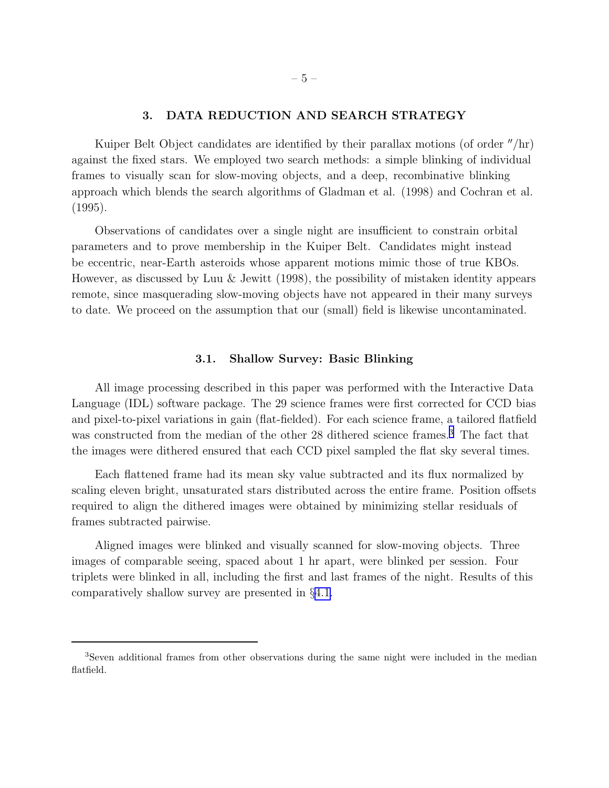# 3. DATA REDUCTION AND SEARCH STRATEGY

<span id="page-4-0"></span>Kuiper Belt Object candidates are identified by their parallax motions (of order  $\gamma$ /hr) against the fixed stars. We employed two search methods: a simple blinking of individual frames to visually scan for slow-moving objects, and a deep, recombinative blinking approach which blends the search algorithms of Gladman et al. (1998) and Cochran et al. (1995).

Observations of candidates over a single night are insufficient to constrain orbital parameters and to prove membership in the Kuiper Belt. Candidates might instead be eccentric, near-Earth asteroids whose apparent motions mimic those of true KBOs. However, as discussed by Luu & Jewitt (1998), the possibility of mistaken identity appears remote, since masquerading slow-moving objects have not appeared in their many surveys to date. We proceed on the assumption that our (small) field is likewise uncontaminated.

### 3.1. Shallow Survey: Basic Blinking

All image processing described in this paper was performed with the Interactive Data Language (IDL) software package. The 29 science frames were first corrected for CCD bias and pixel-to-pixel variations in gain (flat-fielded). For each science frame, a tailored flatfield was constructed from the median of the other 28 dithered science frames.<sup>3</sup> The fact that the images were dithered ensured that each CCD pixel sampled the flat sky several times.

Each flattened frame had its mean sky value subtracted and its flux normalized by scaling eleven bright, unsaturated stars distributed across the entire frame. Position offsets required to align the dithered images were obtained by minimizing stellar residuals of frames subtracted pairwise.

Aligned images were blinked and visually scanned for slow-moving objects. Three images of comparable seeing, spaced about 1 hr apart, were blinked per session. Four triplets were blinked in all, including the first and last frames of the night. Results of this comparatively shallow survey are presented in §[4.1.](#page-7-0)

<sup>3</sup>Seven additional frames from other observations during the same night were included in the median flatfield.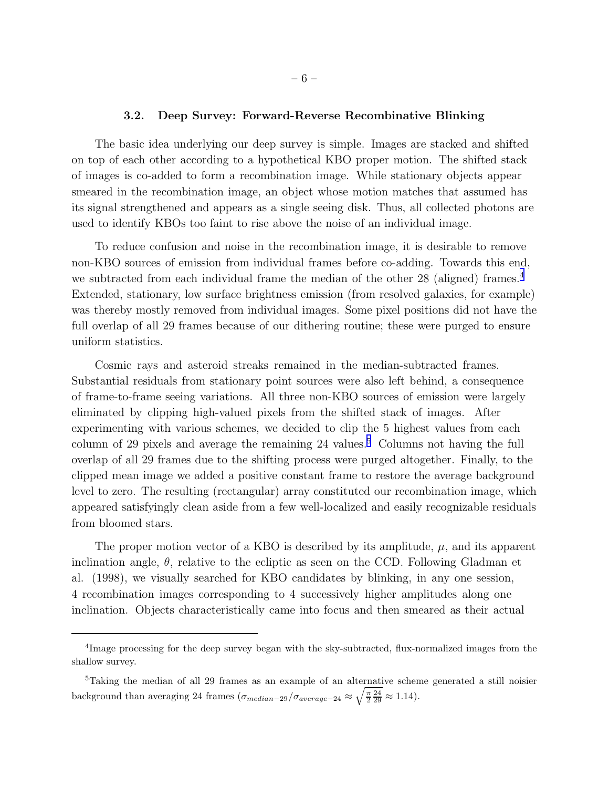## 3.2. Deep Survey: Forward-Reverse Recombinative Blinking

The basic idea underlying our deep survey is simple. Images are stacked and shifted on top of each other according to a hypothetical KBO proper motion. The shifted stack of images is co-added to form a recombination image. While stationary objects appear smeared in the recombination image, an object whose motion matches that assumed has its signal strengthened and appears as a single seeing disk. Thus, all collected photons are used to identify KBOs too faint to rise above the noise of an individual image.

To reduce confusion and noise in the recombination image, it is desirable to remove non-KBO sources of emission from individual frames before co-adding. Towards this end, we subtracted from each individual frame the median of the other 28 (aligned) frames.<sup>4</sup> Extended, stationary, low surface brightness emission (from resolved galaxies, for example) was thereby mostly removed from individual images. Some pixel positions did not have the full overlap of all 29 frames because of our dithering routine; these were purged to ensure uniform statistics.

Cosmic rays and asteroid streaks remained in the median-subtracted frames. Substantial residuals from stationary point sources were also left behind, a consequence of frame-to-frame seeing variations. All three non-KBO sources of emission were largely eliminated by clipping high-valued pixels from the shifted stack of images. After experimenting with various schemes, we decided to clip the 5 highest values from each column of 29 pixels and average the remaining 24 values.<sup>5</sup> Columns not having the full overlap of all 29 frames due to the shifting process were purged altogether. Finally, to the clipped mean image we added a positive constant frame to restore the average background level to zero. The resulting (rectangular) array constituted our recombination image, which appeared satisfyingly clean aside from a few well-localized and easily recognizable residuals from bloomed stars.

The proper motion vector of a KBO is described by its amplitude,  $\mu$ , and its apparent inclination angle,  $\theta$ , relative to the ecliptic as seen on the CCD. Following Gladman et al. (1998), we visually searched for KBO candidates by blinking, in any one session, 4 recombination images corresponding to 4 successively higher amplitudes along one inclination. Objects characteristically came into focus and then smeared as their actual

<sup>&</sup>lt;sup>4</sup>Image processing for the deep survey began with the sky-subtracted, flux-normalized images from the shallow survey.

<sup>5</sup>Taking the median of all 29 frames as an example of an alternative scheme generated a still noisier background than averaging 24 frames  $(\sigma_{median-29}/\sigma_{average-24} \approx \sqrt{\frac{\pi}{2}} \frac{24}{29} \approx 1.14)$ .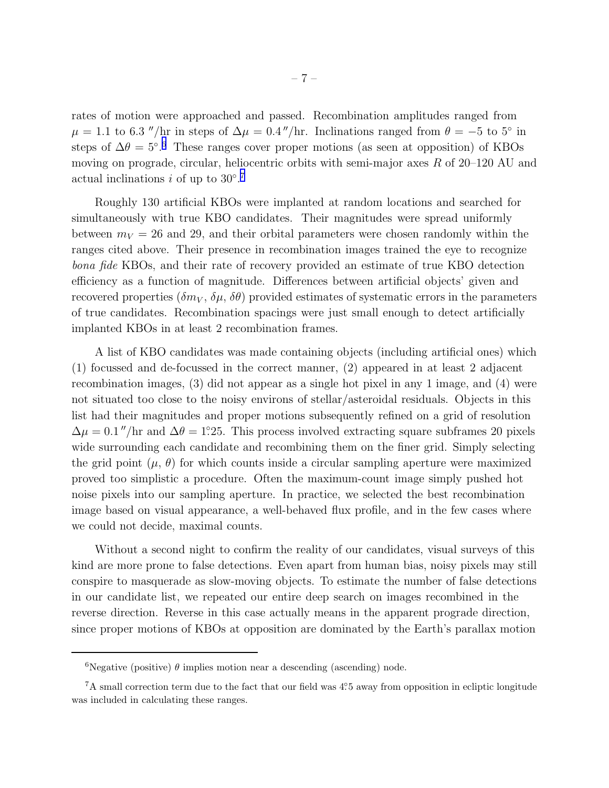rates of motion were approached and passed. Recombination amplitudes ranged from  $\mu = 1.1$  to 6.3 "/hr in steps of  $\Delta \mu = 0.4$ "/hr. Inclinations ranged from  $\theta = -5$  to 5° in steps of  $\Delta\theta = 5^{\circ}$ .<sup>6</sup> These ranges cover proper motions (as seen at opposition) of KBOs moving on prograde, circular, heliocentric orbits with semi-major axes  $R$  of 20–120 AU and actual inclinations  $i$  of up to  $30^{\circ}$ .<sup>7</sup>

Roughly 130 artificial KBOs were implanted at random locations and searched for simultaneously with true KBO candidates. Their magnitudes were spread uniformly between  $m_V = 26$  and 29, and their orbital parameters were chosen randomly within the ranges cited above. Their presence in recombination images trained the eye to recognize bona fide KBOs, and their rate of recovery provided an estimate of true KBO detection efficiency as a function of magnitude. Differences between artificial objects' given and recovered properties  $(\delta m_V, \delta \mu, \delta \theta)$  provided estimates of systematic errors in the parameters of true candidates. Recombination spacings were just small enough to detect artificially implanted KBOs in at least 2 recombination frames.

A list of KBO candidates was made containing objects (including artificial ones) which (1) focussed and de-focussed in the correct manner, (2) appeared in at least 2 adjacent recombination images, (3) did not appear as a single hot pixel in any 1 image, and (4) were not situated too close to the noisy environs of stellar/asteroidal residuals. Objects in this list had their magnitudes and proper motions subsequently refined on a grid of resolution  $\Delta \mu = 0.1''/\text{hr}$  and  $\Delta \theta = 1^{\circ}25$ . This process involved extracting square subframes 20 pixels wide surrounding each candidate and recombining them on the finer grid. Simply selecting the grid point  $(\mu, \theta)$  for which counts inside a circular sampling aperture were maximized proved too simplistic a procedure. Often the maximum-count image simply pushed hot noise pixels into our sampling aperture. In practice, we selected the best recombination image based on visual appearance, a well-behaved flux profile, and in the few cases where we could not decide, maximal counts.

Without a second night to confirm the reality of our candidates, visual surveys of this kind are more prone to false detections. Even apart from human bias, noisy pixels may still conspire to masquerade as slow-moving objects. To estimate the number of false detections in our candidate list, we repeated our entire deep search on images recombined in the reverse direction. Reverse in this case actually means in the apparent prograde direction, since proper motions of KBOs at opposition are dominated by the Earth's parallax motion

<sup>&</sup>lt;sup>6</sup>Negative (positive)  $\theta$  implies motion near a descending (ascending) node.

<sup>&</sup>lt;sup>7</sup>A small correction term due to the fact that our field was 4.5 away from opposition in ecliptic longitude was included in calculating these ranges.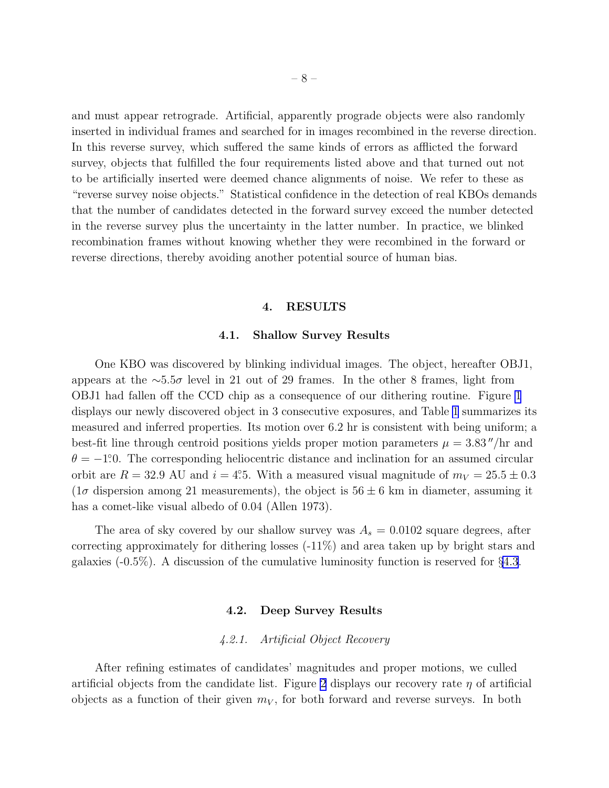<span id="page-7-0"></span>and must appear retrograde. Artificial, apparently prograde objects were also randomly inserted in individual frames and searched for in images recombined in the reverse direction. In this reverse survey, which suffered the same kinds of errors as afflicted the forward survey, objects that fulfilled the four requirements listed above and that turned out not to be artificially inserted were deemed chance alignments of noise. We refer to these as "reverse survey noise objects." Statistical confidence in the detection of real KBOs demands that the number of candidates detected in the forward survey exceed the number detected in the reverse survey plus the uncertainty in the latter number. In practice, we blinked recombination frames without knowing whether they were recombined in the forward or reverse directions, thereby avoiding another potential source of human bias.

# 4. RESULTS

#### 4.1. Shallow Survey Results

One KBO was discovered by blinking individual images. The object, hereafter OBJ1, appears at the  $\sim$ 5.5 $\sigma$  level in 21 out of 29 frames. In the other 8 frames, light from OBJ1 had fallen off the CCD chip as a consequence of our dithering routine. Figure [1](#page-8-0) displays our newly discovered object in 3 consecutive exposures, and Table [1](#page-22-0) summarizes its measured and inferred properties. Its motion over 6.2 hr is consistent with being uniform; a best-fit line through centroid positions yields proper motion parameters  $\mu = 3.83''/\text{hr}$  and  $\theta = -1$ <sup>o</sup>. The corresponding heliocentric distance and inclination for an assumed circular orbit are  $R = 32.9$  AU and  $i = 4.5$ . With a measured visual magnitude of  $m_V = 25.5 \pm 0.3$ ( $1\sigma$  dispersion among 21 measurements), the object is  $56 \pm 6$  km in diameter, assuming it has a comet-like visual albedo of 0.04 (Allen 1973).

The area of sky covered by our shallow survey was  $A_s = 0.0102$  square degrees, after correcting approximately for dithering losses (-11%) and area taken up by bright stars and galaxies (-0.5%). A discussion of the cumulative luminosity function is reserved for §[4.3](#page-12-0).

### 4.2. Deep Survey Results

# 4.2.1. Artificial Object Recovery

After refining estimates of candidates' magnitudes and proper motions, we culled artificial objects from the candidate list. Figure [2](#page-10-0) displays our recovery rate  $\eta$  of artificial objects as a function of their given  $m_V$ , for both forward and reverse surveys. In both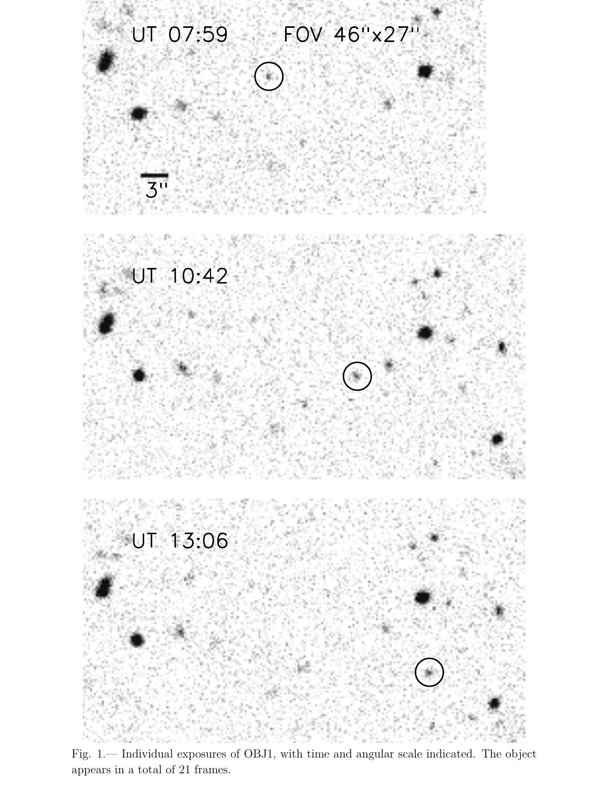<span id="page-8-0"></span>

Fig. 1.— Individual exposures of OBJ1, with time and angular scale indicated. The object appears in a total of 21 frames.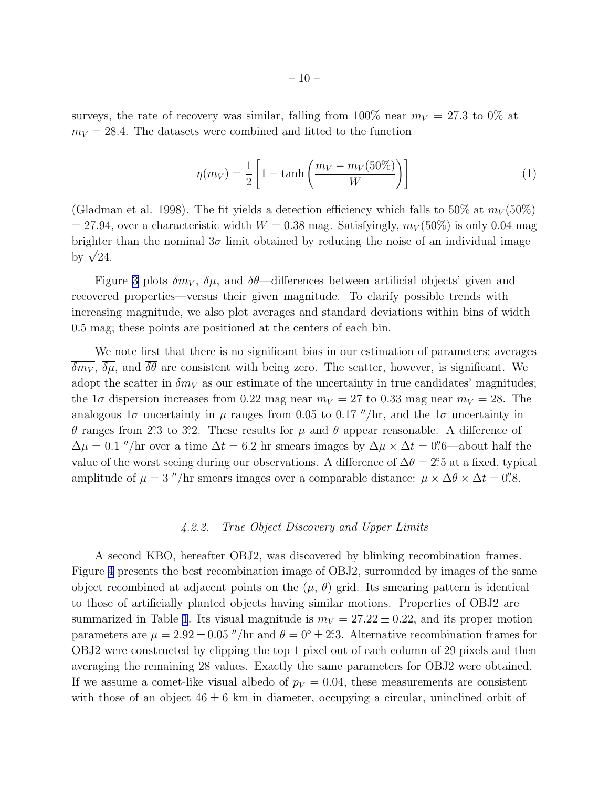<span id="page-9-0"></span>surveys, the rate of recovery was similar, falling from 100% near  $m_V = 27.3$  to 0% at  $m_V = 28.4$ . The datasets were combined and fitted to the function

$$
\eta(m_V) = \frac{1}{2} \left[ 1 - \tanh\left(\frac{m_V - m_V(50\%)}{W}\right) \right] \tag{1}
$$

(Gladman et al. 1998). The fit yields a detection efficiency which falls to 50% at  $m_V (50\%)$  $= 27.94$ , over a characteristic width  $W = 0.38$  mag. Satisfyingly,  $m_V (50\%)$  is only 0.04 mag brighter than the nominal  $3\sigma$  limit obtained by reducing the noise of an individual image by  $\sqrt{24}$ .

Figure [3](#page-11-0) plots  $\delta m_V$ ,  $\delta \mu$ , and  $\delta \theta$ —differences between artificial objects' given and recovered properties—versus their given magnitude. To clarify possible trends with increasing magnitude, we also plot averages and standard deviations within bins of width 0.5 mag; these points are positioned at the centers of each bin.

We note first that there is no significant bias in our estimation of parameters; averages  $\overline{\delta m_V}$ ,  $\overline{\delta \mu}$ , and  $\overline{\delta \theta}$  are consistent with being zero. The scatter, however, is significant. We adopt the scatter in  $\delta m_V$  as our estimate of the uncertainty in true candidates' magnitudes; the 1 $\sigma$  dispersion increases from 0.22 mag near  $m_V = 27$  to 0.33 mag near  $m_V = 28$ . The analogous  $1\sigma$  uncertainty in  $\mu$  ranges from 0.05 to 0.17  $''/\text{hr}$ , and the  $1\sigma$  uncertainty in θ ranges from 2°3 to 3°2. These results for  $\mu$  and θ appear reasonable. A difference of  $\Delta \mu = 0.1$  "/hr over a time  $\Delta t = 6.2$  hr smears images by  $\Delta \mu \times \Delta t = 0$ ". 6—about half the value of the worst seeing during our observations. A difference of  $\Delta\theta = 2^\circ 5$  at a fixed, typical amplitude of  $\mu = 3$  "/hr smears images over a comparable distance:  $\mu \times \Delta \theta \times \Delta t = 0$ ".

# 4.2.2. True Object Discovery and Upper Limits

A second KBO, hereafter OBJ2, was discovered by blinking recombination frames. Figure [4](#page-13-0) presents the best recombination image of OBJ2, surrounded by images of the same object recombined at adjacent points on the  $(\mu, \theta)$  grid. Its smearing pattern is identical to those of artificially planted objects having similar motions. Properties of OBJ2 are summarized in Table [1](#page-22-0). Its visual magnitude is  $m_V = 27.22 \pm 0.22$ , and its proper motion parameters are  $\mu = 2.92 \pm 0.05$  "/hr and  $\theta = 0$ °  $\pm$  2°.3. Alternative recombination frames for OBJ2 were constructed by clipping the top 1 pixel out of each column of 29 pixels and then averaging the remaining 28 values. Exactly the same parameters for OBJ2 were obtained. If we assume a comet-like visual albedo of  $p_V = 0.04$ , these measurements are consistent with those of an object  $46 \pm 6$  km in diameter, occupying a circular, uninclined orbit of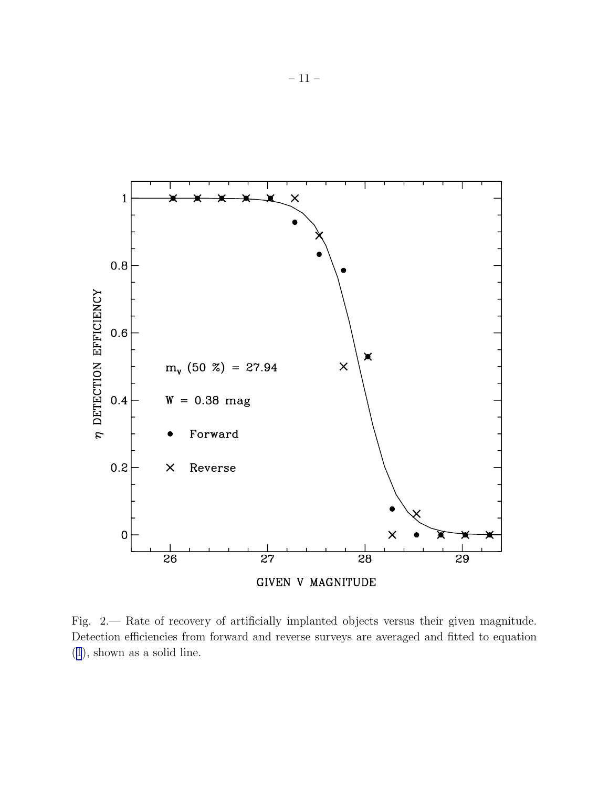<span id="page-10-0"></span>

Fig. 2.— Rate of recovery of artificially implanted objects versus their given magnitude. Detection efficiencies from forward and reverse surveys are averaged and fitted to equation ([1](#page-9-0)), shown as a solid line.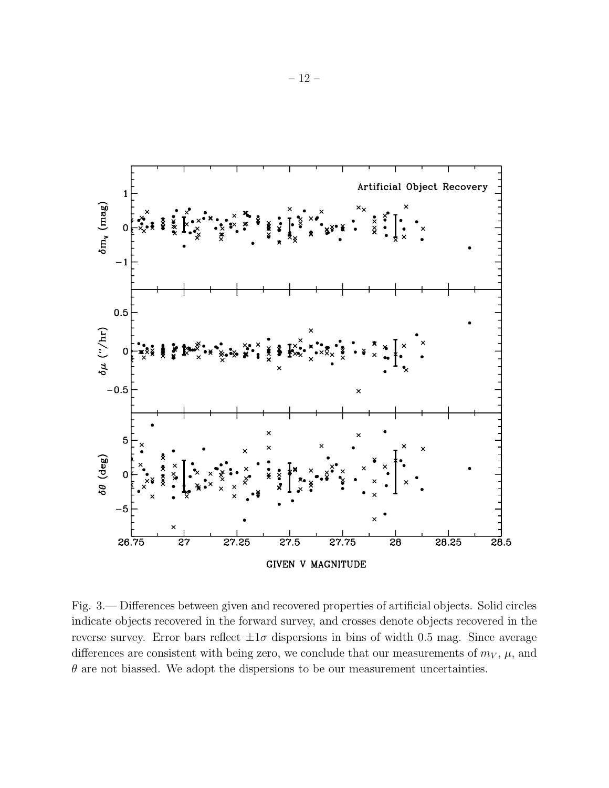<span id="page-11-0"></span>

Fig. 3.— Differences between given and recovered properties of artificial objects. Solid circles indicate objects recovered in the forward survey, and crosses denote objects recovered in the reverse survey. Error bars reflect  $\pm 1\sigma$  dispersions in bins of width 0.5 mag. Since average differences are consistent with being zero, we conclude that our measurements of  $m_V$ ,  $\mu$ , and  $\theta$  are not biassed. We adopt the dispersions to be our measurement uncertainties.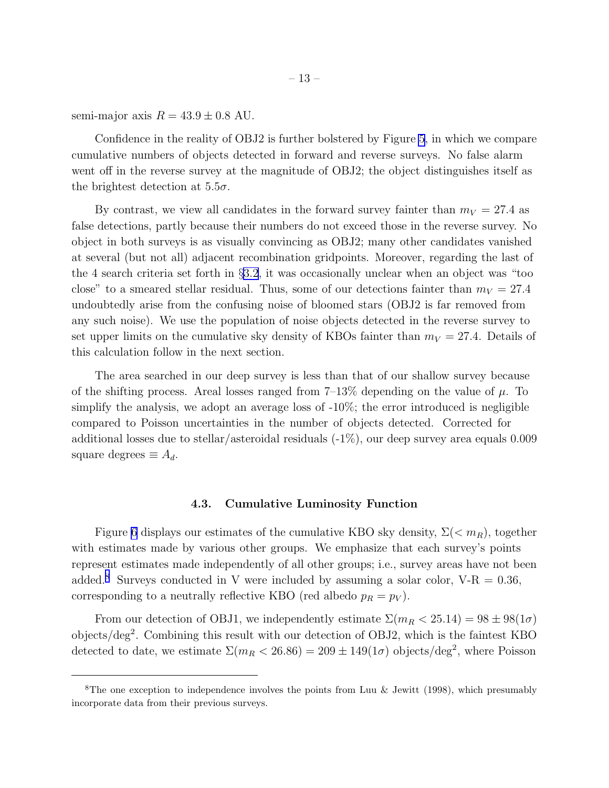<span id="page-12-0"></span>semi-major axis  $R = 43.9 \pm 0.8$  AU.

Confidence in the reality of OBJ2 is further bolstered by Figure [5](#page-14-0), in which we compare cumulative numbers of objects detected in forward and reverse surveys. No false alarm went off in the reverse survey at the magnitude of OBJ2; the object distinguishes itself as the brightest detection at  $5.5\sigma$ .

By contrast, we view all candidates in the forward survey fainter than  $m_V = 27.4$  as false detections, partly because their numbers do not exceed those in the reverse survey. No object in both surveys is as visually convincing as OBJ2; many other candidates vanished at several (but not all) adjacent recombination gridpoints. Moreover, regarding the last of the 4 search criteria set forth in §[3.2](#page-4-0), it was occasionally unclear when an object was "too close" to a smeared stellar residual. Thus, some of our detections fainter than  $m_V = 27.4$ undoubtedly arise from the confusing noise of bloomed stars (OBJ2 is far removed from any such noise). We use the population of noise objects detected in the reverse survey to set upper limits on the cumulative sky density of KBOs fainter than  $m_V = 27.4$ . Details of this calculation follow in the next section.

The area searched in our deep survey is less than that of our shallow survey because of the shifting process. Areal losses ranged from  $7-13\%$  depending on the value of  $\mu$ . To simplify the analysis, we adopt an average loss of -10%; the error introduced is negligible compared to Poisson uncertainties in the number of objects detected. Corrected for additional losses due to stellar/asteroidal residuals (-1%), our deep survey area equals 0.009 square degrees  $\equiv A_d$ .

# 4.3. Cumulative Luminosity Function

Figure [6](#page-15-0) displays our estimates of the cumulative KBO sky density,  $\Sigma(< m_R)$ , together with estimates made by various other groups. We emphasize that each survey's points represent estimates made independently of all other groups; i.e., survey areas have not been added.<sup>8</sup> Surveys conducted in V were included by assuming a solar color,  $V-R = 0.36$ , corresponding to a neutrally reflective KBO (red albedo  $p_R = p_V$ ).

From our detection of OBJ1, we independently estimate  $\Sigma(m_R < 25.14) = 98 \pm 98(1\sigma)$ objects/deg<sup>2</sup> . Combining this result with our detection of OBJ2, which is the faintest KBO detected to date, we estimate  $\Sigma(m_R < 26.86) = 209 \pm 149(1\sigma)$  objects/deg<sup>2</sup>, where Poisson

<sup>&</sup>lt;sup>8</sup>The one exception to independence involves the points from Luu & Jewitt (1998), which presumably incorporate data from their previous surveys.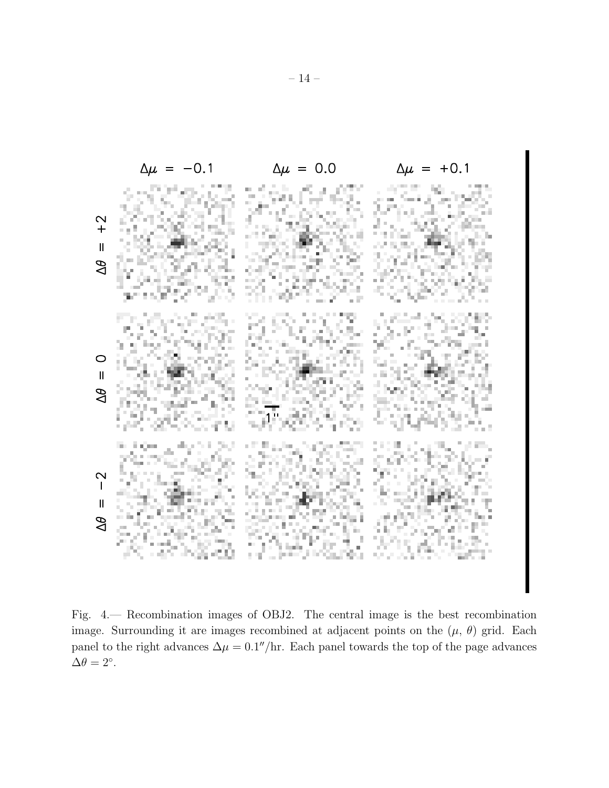<span id="page-13-0"></span>

Fig. 4.— Recombination images of OBJ2. The central image is the best recombination image. Surrounding it are images recombined at adjacent points on the  $(\mu, \theta)$  grid. Each panel to the right advances  $\Delta \mu = 0.1''/\text{hr}$ . Each panel towards the top of the page advances  $\Delta\theta = 2^{\circ}.$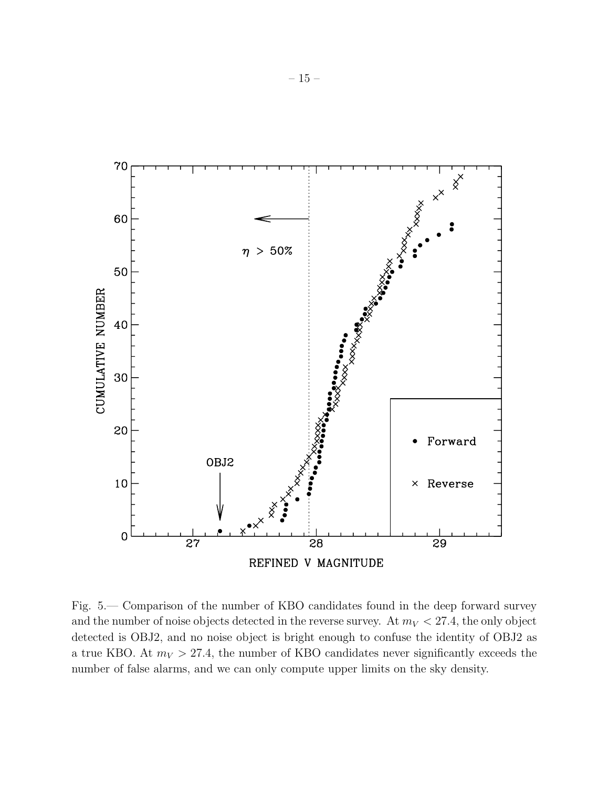<span id="page-14-0"></span>

Fig. 5.— Comparison of the number of KBO candidates found in the deep forward survey and the number of noise objects detected in the reverse survey. At  $m_V < 27.4$ , the only object detected is OBJ2, and no noise object is bright enough to confuse the identity of OBJ2 as a true KBO. At  $m_V > 27.4$ , the number of KBO candidates never significantly exceeds the number of false alarms, and we can only compute upper limits on the sky density.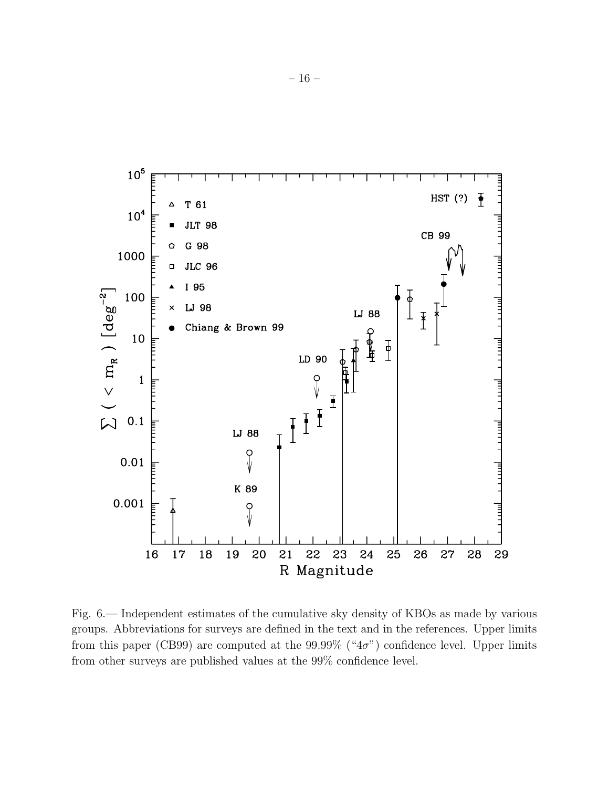<span id="page-15-0"></span>

Fig. 6.— Independent estimates of the cumulative sky density of KBOs as made by various groups. Abbreviations for surveys are defined in the text and in the references. Upper limits from this paper (CB99) are computed at the  $99.99\%$  (" $4\sigma$ ") confidence level. Upper limits from other surveys are published values at the 99% confidence level.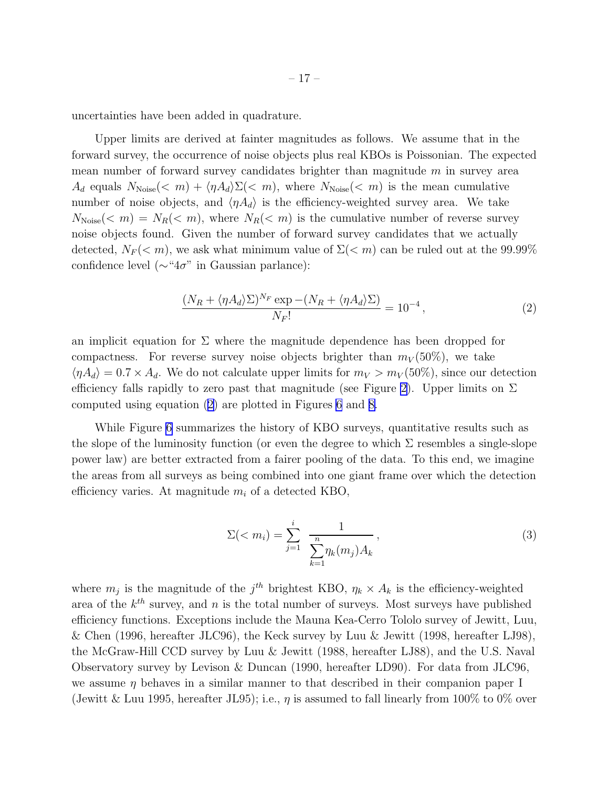<span id="page-16-0"></span>uncertainties have been added in quadrature.

Upper limits are derived at fainter magnitudes as follows. We assume that in the forward survey, the occurrence of noise objects plus real KBOs is Poissonian. The expected mean number of forward survey candidates brighter than magnitude  $m$  in survey area  $A_d$  equals  $N_{\text{Noise}}(< m) + \langle \eta A_d \rangle \Sigma(< m)$ , where  $N_{\text{Noise}}(< m)$  is the mean cumulative number of noise objects, and  $\langle \eta A_d \rangle$  is the efficiency-weighted survey area. We take  $N_{\text{Noise}}(< m) = N_R(< m)$ , where  $N_R(< m)$  is the cumulative number of reverse survey noise objects found. Given the number of forward survey candidates that we actually detected,  $N_F$  (< m), we ask what minimum value of  $\Sigma$  (< m) can be ruled out at the 99.99% confidence level ( $\sim$ "4 $\sigma$ " in Gaussian parlance):

$$
\frac{(N_R + \langle \eta A_d \rangle \Sigma)^{N_F} \exp - (N_R + \langle \eta A_d \rangle \Sigma)}{N_F!} = 10^{-4},\tag{2}
$$

an implicit equation for  $\Sigma$  where the magnitude dependence has been dropped for compactness. For reverse survey noise objects brighter than  $m<sub>V</sub>(50\%)$ , we take  $\langle \eta A_d \rangle = 0.7 \times A_d$ . We do not calculate upper limits for  $m_V > m_V (50\%)$ , since our detection efficiency falls rapidly to zero past that magnitude (see Figure [2](#page-10-0)). Upper limits on  $\Sigma$ computed using equation (2) are plotted in Figures [6](#page-15-0) and [8.](#page-20-0)

While Figure [6](#page-15-0) summarizes the history of KBO surveys, quantitative results such as the slope of the luminosity function (or even the degree to which  $\Sigma$  resembles a single-slope power law) are better extracted from a fairer pooling of the data. To this end, we imagine the areas from all surveys as being combined into one giant frame over which the detection efficiency varies. At magnitude  $m_i$  of a detected KBO,

$$
\Sigma(\n(3)
$$

where  $m_j$  is the magnitude of the j<sup>th</sup> brightest KBO,  $\eta_k \times A_k$  is the efficiency-weighted area of the  $k^{th}$  survey, and n is the total number of surveys. Most surveys have published efficiency functions. Exceptions include the Mauna Kea-Cerro Tololo survey of Jewitt, Luu, & Chen (1996, hereafter JLC96), the Keck survey by Luu & Jewitt (1998, hereafter LJ98), the McGraw-Hill CCD survey by Luu & Jewitt (1988, hereafter LJ88), and the U.S. Naval Observatory survey by Levison & Duncan (1990, hereafter LD90). For data from JLC96, we assume  $\eta$  behaves in a similar manner to that described in their companion paper I (Jewitt & Luu 1995, hereafter JL95); i.e.,  $\eta$  is assumed to fall linearly from 100% to 0% over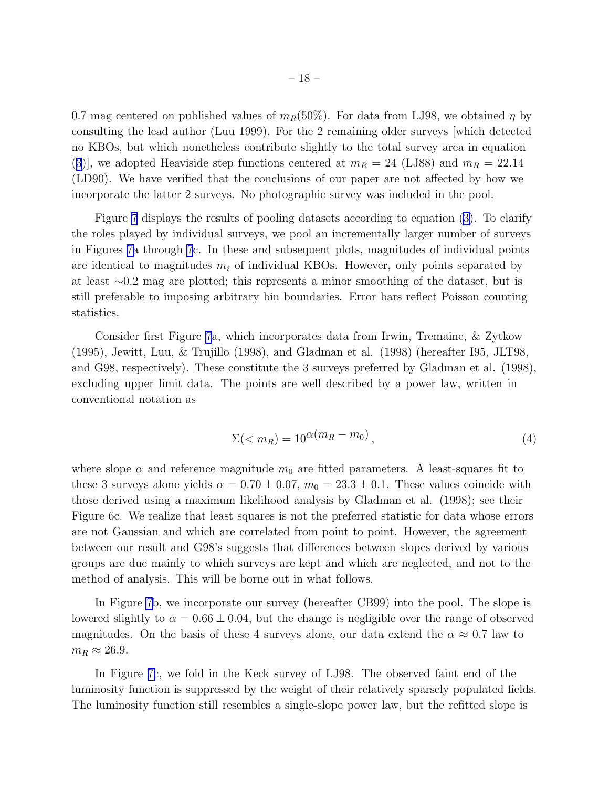<span id="page-17-0"></span>0.7 mag centered on published values of  $m_R(50\%)$ . For data from LJ98, we obtained  $\eta$  by consulting the lead author (Luu 1999). For the 2 remaining older surveys [which detected no KBOs, but which nonetheless contribute slightly to the total survey area in equation ([3](#page-16-0)), we adopted Heaviside step functions centered at  $m_R = 24$  (LJ88) and  $m_R = 22.14$ (LD90). We have verified that the conclusions of our paper are not affected by how we incorporate the latter 2 surveys. No photographic survey was included in the pool.

Figure [7](#page-18-0) displays the results of pooling datasets according to equation [\(3\)](#page-16-0). To clarify the roles played by individual surveys, we pool an incrementally larger number of surveys in Figures [7a](#page-18-0) through [7](#page-18-0)c. In these and subsequent plots, magnitudes of individual points are identical to magnitudes  $m_i$  of individual KBOs. However, only points separated by at least ∼0.2 mag are plotted; this represents a minor smoothing of the dataset, but is still preferable to imposing arbitrary bin boundaries. Error bars reflect Poisson counting statistics.

Consider first Figure [7a](#page-18-0), which incorporates data from Irwin, Tremaine, & Zytkow (1995), Jewitt, Luu, & Trujillo (1998), and Gladman et al. (1998) (hereafter I95, JLT98, and G98, respectively). These constitute the 3 surveys preferred by Gladman et al. (1998), excluding upper limit data. The points are well described by a power law, written in conventional notation as

$$
\Sigma(\langle m_R \rangle = 10^{\alpha(m_R - m_0)}, \tag{4}
$$

where slope  $\alpha$  and reference magnitude  $m_0$  are fitted parameters. A least-squares fit to these 3 surveys alone yields  $\alpha = 0.70 \pm 0.07$ ,  $m_0 = 23.3 \pm 0.1$ . These values coincide with those derived using a maximum likelihood analysis by Gladman et al. (1998); see their Figure 6c. We realize that least squares is not the preferred statistic for data whose errors are not Gaussian and which are correlated from point to point. However, the agreement between our result and G98's suggests that differences between slopes derived by various groups are due mainly to which surveys are kept and which are neglected, and not to the method of analysis. This will be borne out in what follows.

In Figure [7](#page-18-0)b, we incorporate our survey (hereafter CB99) into the pool. The slope is lowered slightly to  $\alpha = 0.66 \pm 0.04$ , but the change is negligible over the range of observed magnitudes. On the basis of these 4 surveys alone, our data extend the  $\alpha \approx 0.7$  law to  $m_R \approx 26.9$ .

In Figure [7c](#page-18-0), we fold in the Keck survey of LJ98. The observed faint end of the luminosity function is suppressed by the weight of their relatively sparsely populated fields. The luminosity function still resembles a single-slope power law, but the refitted slope is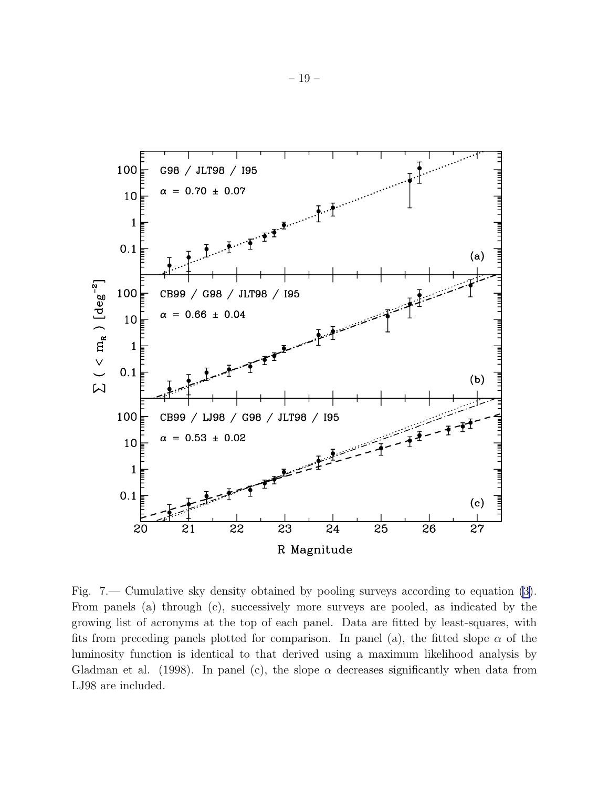<span id="page-18-0"></span>

Fig. 7.— Cumulative sky density obtained by pooling surveys according to equation [\(3](#page-16-0)). From panels (a) through (c), successively more surveys are pooled, as indicated by the growing list of acronyms at the top of each panel. Data are fitted by least-squares, with fits from preceding panels plotted for comparison. In panel (a), the fitted slope  $\alpha$  of the luminosity function is identical to that derived using a maximum likelihood analysis by Gladman et al. (1998). In panel (c), the slope  $\alpha$  decreases significantly when data from LJ98 are included.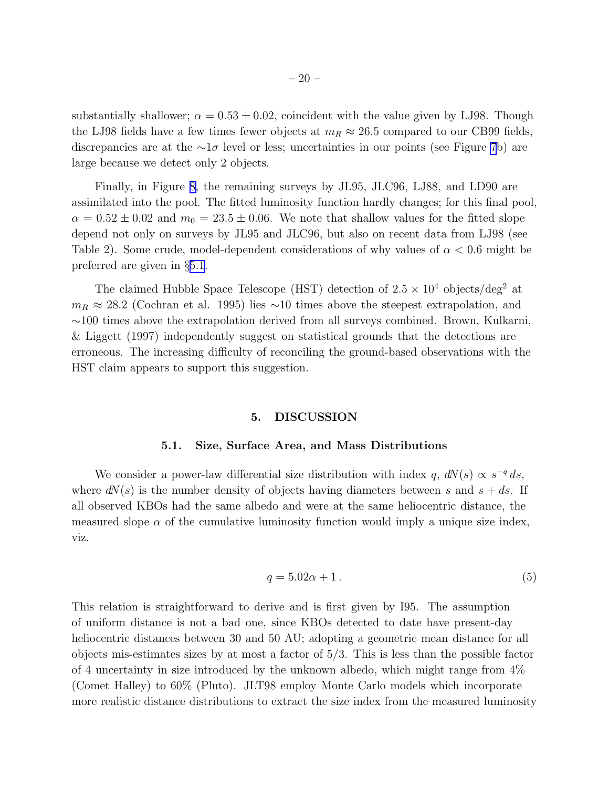<span id="page-19-0"></span>substantially shallower;  $\alpha = 0.53 \pm 0.02$ , coincident with the value given by LJ98. Though the LJ98 fields have a few times fewer objects at  $m_R \approx 26.5$  compared to our CB99 fields, discrepancies are at the  $\sim 1\sigma$  level or less; uncertainties in our points (see Figure [7](#page-18-0)b) are large because we detect only 2 objects.

Finally, in Figure [8,](#page-20-0) the remaining surveys by JL95, JLC96, LJ88, and LD90 are assimilated into the pool. The fitted luminosity function hardly changes; for this final pool,  $\alpha = 0.52 \pm 0.02$  and  $m_0 = 23.5 \pm 0.06$ . We note that shallow values for the fitted slope depend not only on surveys by JL95 and JLC96, but also on recent data from LJ98 (see Table 2). Some crude, model-dependent considerations of why values of  $\alpha < 0.6$  might be preferred are given in §5.1.

The claimed Hubble Space Telescope (HST) detection of  $2.5 \times 10^4$  objects/deg<sup>2</sup> at  $m_R \approx 28.2$  (Cochran et al. 1995) lies ∼10 times above the steepest extrapolation, and ∼100 times above the extrapolation derived from all surveys combined. Brown, Kulkarni, & Liggett (1997) independently suggest on statistical grounds that the detections are erroneous. The increasing difficulty of reconciling the ground-based observations with the HST claim appears to support this suggestion.

# 5. DISCUSSION

### 5.1. Size, Surface Area, and Mass Distributions

We consider a power-law differential size distribution with index q,  $dN(s) \propto s^{-q} ds$ , where  $dN(s)$  is the number density of objects having diameters between s and  $s + ds$ . If all observed KBOs had the same albedo and were at the same heliocentric distance, the measured slope  $\alpha$  of the cumulative luminosity function would imply a unique size index, viz.

$$
q = 5.02\alpha + 1. \tag{5}
$$

This relation is straightforward to derive and is first given by I95. The assumption of uniform distance is not a bad one, since KBOs detected to date have present-day heliocentric distances between 30 and 50 AU; adopting a geometric mean distance for all objects mis-estimates sizes by at most a factor of 5/3. This is less than the possible factor of 4 uncertainty in size introduced by the unknown albedo, which might range from 4% (Comet Halley) to 60% (Pluto). JLT98 employ Monte Carlo models which incorporate more realistic distance distributions to extract the size index from the measured luminosity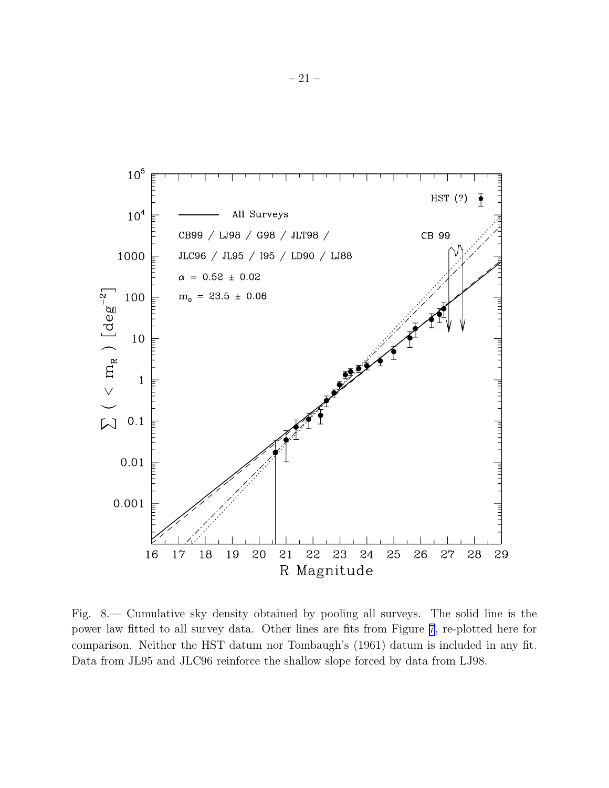<span id="page-20-0"></span>

Fig. 8.— Cumulative sky density obtained by pooling all surveys. The solid line is the power law fitted to all survey data. Other lines are fits from Figure [7](#page-18-0), re-plotted here for comparison. Neither the HST datum nor Tombaugh's (1961) datum is included in any fit. Data from JL95 and JLC96 reinforce the shallow slope forced by data from LJ98.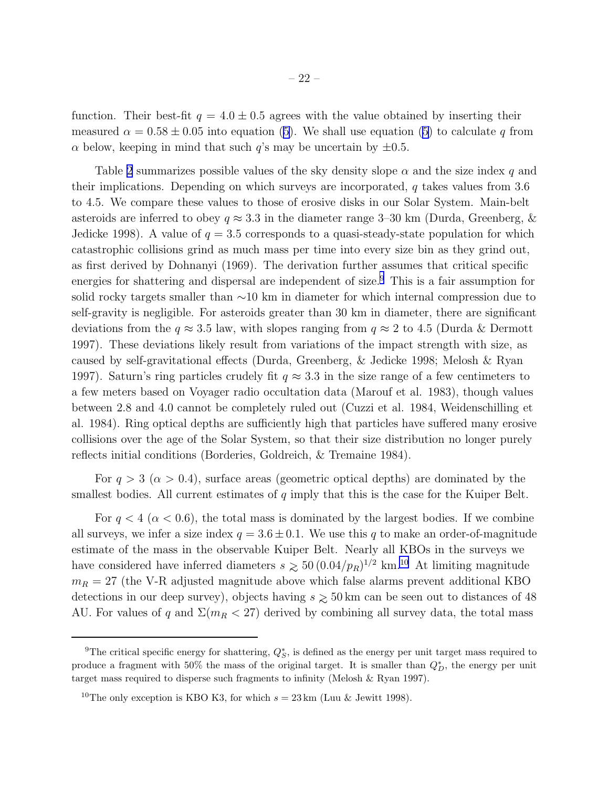function. Their best-fit  $q = 4.0 \pm 0.5$  agrees with the value obtained by inserting their measured $\alpha = 0.58 \pm 0.05$  into equation ([5\)](#page-19-0). We shall use equation [\(5\)](#page-19-0) to calculate q from  $\alpha$  below, keeping in mind that such q's may be uncertain by  $\pm 0.5$ .

Table [2](#page-22-0) summarizes possible values of the sky density slope  $\alpha$  and the size index q and their implications. Depending on which surveys are incorporated, q takes values from 3.6 to 4.5. We compare these values to those of erosive disks in our Solar System. Main-belt asteroids are inferred to obey  $q \approx 3.3$  in the diameter range 3–30 km (Durda, Greenberg, & Jedicke 1998). A value of  $q = 3.5$  corresponds to a quasi-steady-state population for which catastrophic collisions grind as much mass per time into every size bin as they grind out, as first derived by Dohnanyi (1969). The derivation further assumes that critical specific energies for shattering and dispersal are independent of size.<sup>9</sup> This is a fair assumption for solid rocky targets smaller than ∼10 km in diameter for which internal compression due to self-gravity is negligible. For asteroids greater than 30 km in diameter, there are significant deviations from the  $q \approx 3.5$  law, with slopes ranging from  $q \approx 2$  to 4.5 (Durda & Dermott 1997). These deviations likely result from variations of the impact strength with size, as caused by self-gravitational effects (Durda, Greenberg, & Jedicke 1998; Melosh & Ryan 1997). Saturn's ring particles crudely fit  $q \approx 3.3$  in the size range of a few centimeters to a few meters based on Voyager radio occultation data (Marouf et al. 1983), though values between 2.8 and 4.0 cannot be completely ruled out (Cuzzi et al. 1984, Weidenschilling et al. 1984). Ring optical depths are sufficiently high that particles have suffered many erosive collisions over the age of the Solar System, so that their size distribution no longer purely reflects initial conditions (Borderies, Goldreich, & Tremaine 1984).

For  $q > 3 \ (\alpha > 0.4)$ , surface areas (geometric optical depths) are dominated by the smallest bodies. All current estimates of  $q$  imply that this is the case for the Kuiper Belt.

For  $q < 4$  ( $\alpha < 0.6$ ), the total mass is dominated by the largest bodies. If we combine all surveys, we infer a size index  $q = 3.6 \pm 0.1$ . We use this q to make an order-of-magnitude estimate of the mass in the observable Kuiper Belt. Nearly all KBOs in the surveys we have considered have inferred diameters  $s \gtrsim 50 (0.04/p_R)^{1/2} \text{ km}^{10}$  At limiting magnitude  $m_R = 27$  (the V-R adjusted magnitude above which false alarms prevent additional KBO detections in our deep survey), objects having  $s \geq 50$  km can be seen out to distances of 48 AU. For values of q and  $\Sigma(m_R < 27)$  derived by combining all survey data, the total mass

<sup>&</sup>lt;sup>9</sup>The critical specific energy for shattering,  $Q_S^*$ , is defined as the energy per unit target mass required to produce a fragment with 50% the mass of the original target. It is smaller than  $Q_D^*$ , the energy per unit target mass required to disperse such fragments to infinity (Melosh & Ryan 1997).

<sup>&</sup>lt;sup>10</sup>The only exception is KBO K3, for which  $s = 23 \text{ km}$  (Luu & Jewitt 1998).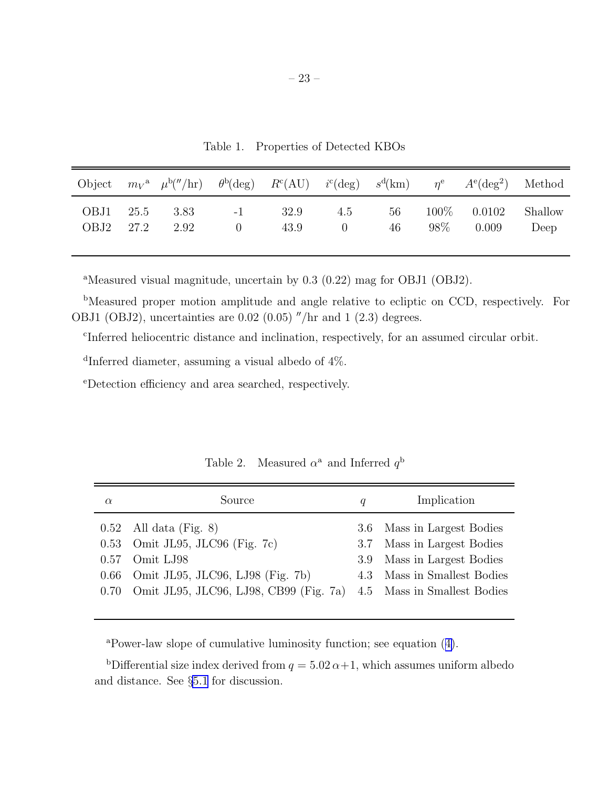<span id="page-22-0"></span>

| Object |      |      |          |      |          |    |         | $m_V^a$ $\mu^b''/hr$ ) $\theta^b(\text{deg})$ $R^c(AU)$ $i^c(\text{deg})$ $s^d(km)$ $\eta^e$ $A^e(\text{deg}^2)$ Method |         |
|--------|------|------|----------|------|----------|----|---------|-------------------------------------------------------------------------------------------------------------------------|---------|
| OBJ1   | 25.5 | 3.83 | $-1$     | 32.9 | 4.5      | 56 | $100\%$ | 0.0102                                                                                                                  | Shallow |
| OBJ2   | 27.2 | 2.92 | $\theta$ | 43.9 | $\theta$ | 46 | 98\%    | 0.009                                                                                                                   | Deep    |

Table 1. Properties of Detected KBOs

<sup>a</sup>Measured visual magnitude, uncertain by 0.3 (0.22) mag for OBJ1 (OBJ2).

<sup>b</sup>Measured proper motion amplitude and angle relative to ecliptic on CCD, respectively. For OBJ1 (OBJ2), uncertainties are  $0.02$  (0.05)  $\prime\prime$ /hr and 1 (2.3) degrees.

c Inferred heliocentric distance and inclination, respectively, for an assumed circular orbit.

d Inferred diameter, assuming a visual albedo of 4%.

<sup>e</sup>Detection efficiency and area searched, respectively.

| $\alpha$ | Source                                      | Implication                 |
|----------|---------------------------------------------|-----------------------------|
|          | $0.52$ All data (Fig. 8)                    | 3.6 Mass in Largest Bodies  |
|          | 0.53 Omit JL95, JLC96 (Fig. 7c)             | 3.7 Mass in Largest Bodies  |
| 0.57     | Omit LJ98                                   | 3.9 Mass in Largest Bodies  |
| 0.66     | Omit JL95, JLC96, LJ98 (Fig. 7b)            | 4.3 Mass in Smallest Bodies |
|          | 0.70 Omit JL95, JLC96, LJ98, CB99 (Fig. 7a) | 4.5 Mass in Smallest Bodies |
|          |                                             |                             |

Table 2. Measured  $\alpha^a$  and Inferred  $q^b$ 

<sup>a</sup>Power-law slope of cumulative luminosity function; see equation([4\)](#page-17-0).

bDifferential size index derived from  $q = 5.02 \alpha + 1$ , which assumes uniform albedo and distance. See §[5.1](#page-19-0) for discussion.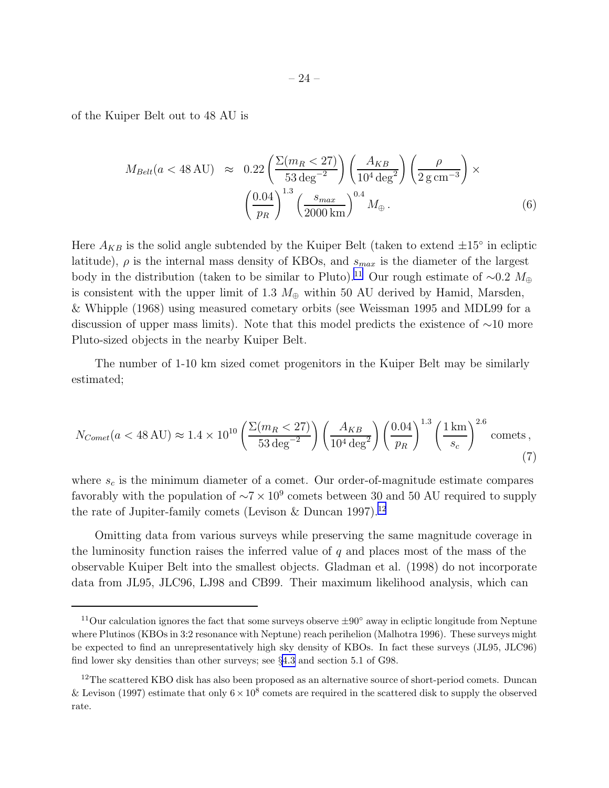of the Kuiper Belt out to 48 AU is

$$
M_{Belt}(a < 48 \,\mathrm{AU}) \approx 0.22 \left( \frac{\Sigma (m_R < 27)}{53 \,\mathrm{deg}^{-2}} \right) \left( \frac{A_{KB}}{10^4 \,\mathrm{deg}^2} \right) \left( \frac{\rho}{2 \,\mathrm{g} \,\mathrm{cm}^{-3}} \right) \times \left( \frac{0.04}{p_R} \right)^{1.3} \left( \frac{s_{max}}{2000 \,\mathrm{km}} \right)^{0.4} M_{\oplus} \,. \tag{6}
$$

Here  $A_{KB}$  is the solid angle subtended by the Kuiper Belt (taken to extend  $\pm 15^{\circ}$  in ecliptic latitude),  $\rho$  is the internal mass density of KBOs, and  $s_{max}$  is the diameter of the largest body in the distribution (taken to be similar to Pluto).<sup>11</sup> Our rough estimate of ~0.2  $M_{\oplus}$ is consistent with the upper limit of 1.3  $M_{\oplus}$  within 50 AU derived by Hamid, Marsden, & Whipple (1968) using measured cometary orbits (see Weissman 1995 and MDL99 for a discussion of upper mass limits). Note that this model predicts the existence of ∼10 more Pluto-sized objects in the nearby Kuiper Belt.

The number of 1-10 km sized comet progenitors in the Kuiper Belt may be similarly estimated;

$$
N_{Comet}(a < 48 \text{ AU}) \approx 1.4 \times 10^{10} \left( \frac{\Sigma (m_R < 27)}{53 \text{ deg}^{-2}} \right) \left( \frac{A_{KB}}{10^4 \text{ deg}^2} \right) \left( \frac{0.04}{p_R} \right)^{1.3} \left( \frac{1 \text{ km}}{s_c} \right)^{2.6} \text{ comets} ,\tag{7}
$$

where  $s_c$  is the minimum diameter of a comet. Our order-of-magnitude estimate compares favorably with the population of  $\sim$ 7 × 10<sup>9</sup> comets between 30 and 50 AU required to supply the rate of Jupiter-family comets (Levison & Duncan 1997).<sup>12</sup>

Omitting data from various surveys while preserving the same magnitude coverage in the luminosity function raises the inferred value of  $q$  and places most of the mass of the observable Kuiper Belt into the smallest objects. Gladman et al. (1998) do not incorporate data from JL95, JLC96, LJ98 and CB99. Their maximum likelihood analysis, which can

<sup>&</sup>lt;sup>11</sup>Our calculation ignores the fact that some surveys observe  $\pm 90^\circ$  away in ecliptic longitude from Neptune where Plutinos (KBOs in 3:2 resonance with Neptune) reach perihelion (Malhotra 1996). These surveys might be expected to find an unrepresentatively high sky density of KBOs. In fact these surveys (JL95, JLC96) find lower sky densities than other surveys; see §[4.3](#page-12-0) and section 5.1 of G98.

 $12$ The scattered KBO disk has also been proposed as an alternative source of short-period comets. Duncan & Levison (1997) estimate that only  $6 \times 10^8$  comets are required in the scattered disk to supply the observed rate.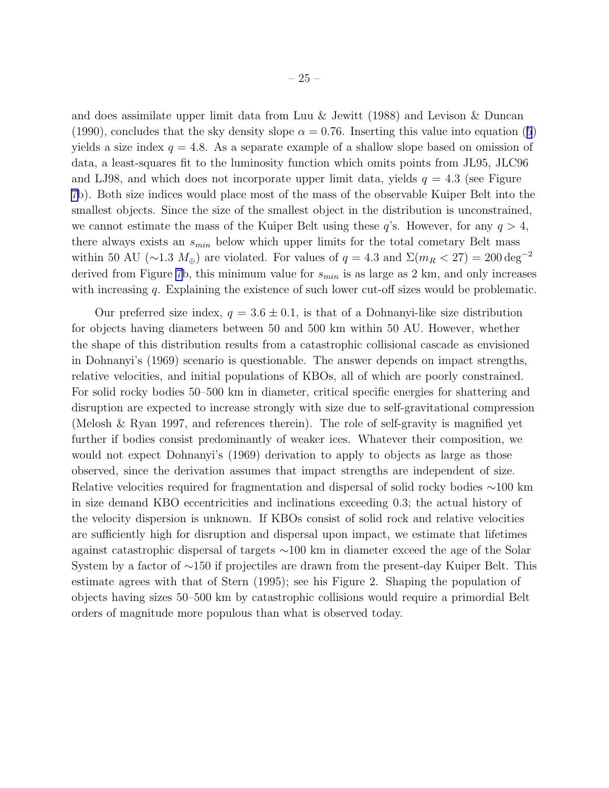and does assimilate upper limit data from Luu & Jewitt (1988) and Levison & Duncan (1990),concludes that the sky density slope  $\alpha = 0.76$ . Inserting this value into equation ([5](#page-19-0)) yields a size index  $q = 4.8$ . As a separate example of a shallow slope based on omission of data, a least-squares fit to the luminosity function which omits points from JL95, JLC96 and LJ98, and which does not incorporate upper limit data, yields  $q = 4.3$  (see Figure [7b](#page-18-0)). Both size indices would place most of the mass of the observable Kuiper Belt into the smallest objects. Since the size of the smallest object in the distribution is unconstrained, we cannot estimate the mass of the Kuiper Belt using these q's. However, for any  $q > 4$ , there always exists an  $s_{min}$  below which upper limits for the total cometary Belt mass within 50 AU (∼1.3  $M_{\oplus}$ ) are violated. For values of  $q = 4.3$  and  $\Sigma(m_R < 27) = 200 \text{ deg}^{-2}$ derived from Figure [7](#page-18-0)b, this minimum value for  $s_{min}$  is as large as 2 km, and only increases with increasing q. Explaining the existence of such lower cut-off sizes would be problematic.

Our preferred size index,  $q = 3.6 \pm 0.1$ , is that of a Dohnanyi-like size distribution for objects having diameters between 50 and 500 km within 50 AU. However, whether the shape of this distribution results from a catastrophic collisional cascade as envisioned in Dohnanyi's (1969) scenario is questionable. The answer depends on impact strengths, relative velocities, and initial populations of KBOs, all of which are poorly constrained. For solid rocky bodies 50–500 km in diameter, critical specific energies for shattering and disruption are expected to increase strongly with size due to self-gravitational compression (Melosh & Ryan 1997, and references therein). The role of self-gravity is magnified yet further if bodies consist predominantly of weaker ices. Whatever their composition, we would not expect Dohnanyi's (1969) derivation to apply to objects as large as those observed, since the derivation assumes that impact strengths are independent of size. Relative velocities required for fragmentation and dispersal of solid rocky bodies ∼100 km in size demand KBO eccentricities and inclinations exceeding 0.3; the actual history of the velocity dispersion is unknown. If KBOs consist of solid rock and relative velocities are sufficiently high for disruption and dispersal upon impact, we estimate that lifetimes against catastrophic dispersal of targets ∼100 km in diameter exceed the age of the Solar System by a factor of ∼150 if projectiles are drawn from the present-day Kuiper Belt. This estimate agrees with that of Stern (1995); see his Figure 2. Shaping the population of objects having sizes 50–500 km by catastrophic collisions would require a primordial Belt orders of magnitude more populous than what is observed today.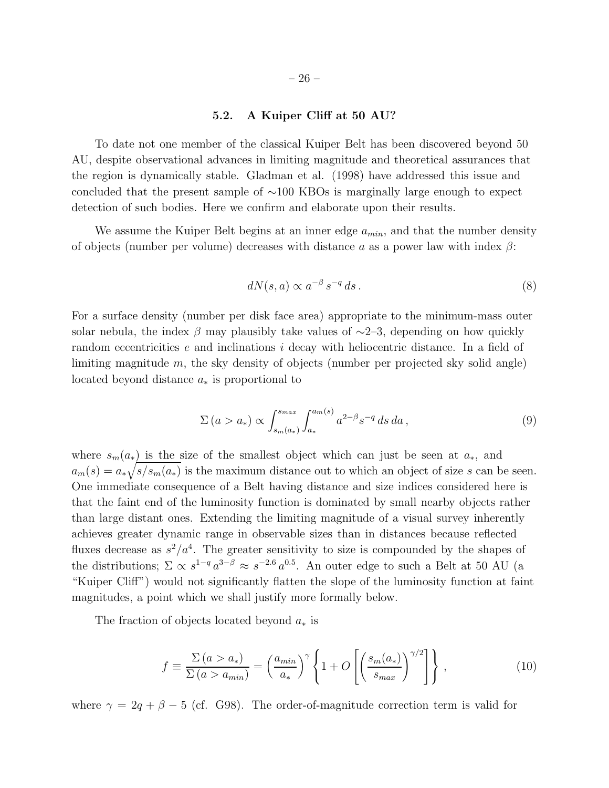# 5.2. A Kuiper Cliff at 50 AU?

To date not one member of the classical Kuiper Belt has been discovered beyond 50 AU, despite observational advances in limiting magnitude and theoretical assurances that the region is dynamically stable. Gladman et al. (1998) have addressed this issue and concluded that the present sample of ∼100 KBOs is marginally large enough to expect detection of such bodies. Here we confirm and elaborate upon their results.

We assume the Kuiper Belt begins at an inner edge  $a_{min}$ , and that the number density of objects (number per volume) decreases with distance a as a power law with index  $\beta$ :

$$
dN(s,a) \propto a^{-\beta} s^{-q} ds. \tag{8}
$$

For a surface density (number per disk face area) appropriate to the minimum-mass outer solar nebula, the index  $\beta$  may plausibly take values of ∼2–3, depending on how quickly random eccentricities e and inclinations i decay with heliocentric distance. In a field of limiting magnitude  $m$ , the sky density of objects (number per projected sky solid angle) located beyond distance a<sup>∗</sup> is proportional to

$$
\Sigma (a > a_*) \propto \int_{s_m(a_*)}^{s_{max}} \int_{a_*}^{a_m(s)} a^{2-\beta} s^{-q} ds da , \qquad (9)
$$

where  $s_m(a_*)$  is the size of the smallest object which can just be seen at  $a_*,$  and  $a_m(s) = a_{\ast} \sqrt{s/s_m(a_{\ast})}$  is the maximum distance out to which an object of size s can be seen. One immediate consequence of a Belt having distance and size indices considered here is that the faint end of the luminosity function is dominated by small nearby objects rather than large distant ones. Extending the limiting magnitude of a visual survey inherently achieves greater dynamic range in observable sizes than in distances because reflected fluxes decrease as  $s^2/a^4$ . The greater sensitivity to size is compounded by the shapes of the distributions;  $\Sigma \propto s^{1-q} a^{3-\beta} \approx s^{-2.6} a^{0.5}$ . An outer edge to such a Belt at 50 AU (a "Kuiper Cliff") would not significantly flatten the slope of the luminosity function at faint magnitudes, a point which we shall justify more formally below.

The fraction of objects located beyond  $a_*$  is

$$
f \equiv \frac{\Sigma (a > a_*)}{\Sigma (a > a_{min})} = \left(\frac{a_{min}}{a_*}\right)^\gamma \left\{1 + O\left[\left(\frac{s_m(a_*)}{s_{max}}\right)^{\gamma/2}\right]\right\},\tag{10}
$$

where  $\gamma = 2q + \beta - 5$  (cf. G98). The order-of-magnitude correction term is valid for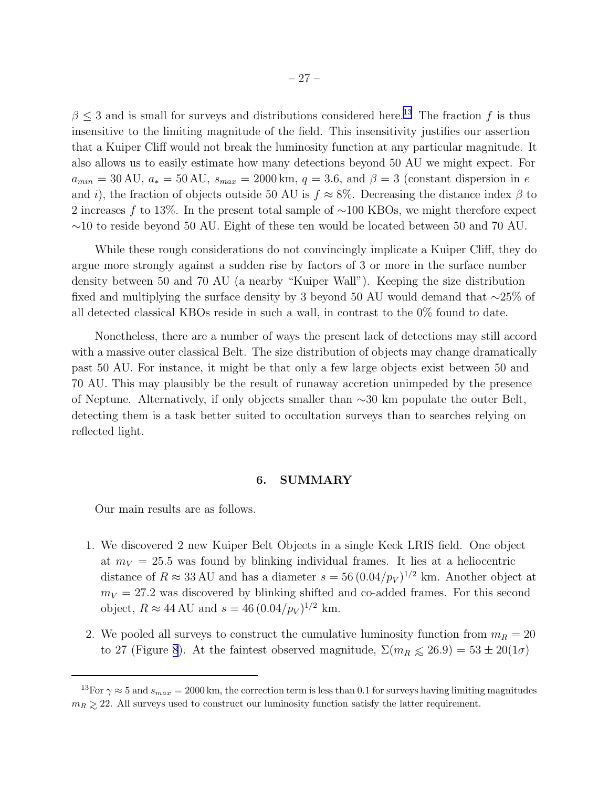<span id="page-26-0"></span> $\beta \leq 3$  and is small for surveys and distributions considered here.<sup>13</sup> The fraction f is thus insensitive to the limiting magnitude of the field. This insensitivity justifies our assertion that a Kuiper Cliff would not break the luminosity function at any particular magnitude. It also allows us to easily estimate how many detections beyond 50 AU we might expect. For  $a_{min} = 30 \text{ AU}, a_{*} = 50 \text{ AU}, s_{max} = 2000 \text{ km}, q = 3.6, \text{ and } \beta = 3 \text{ (constant dispersion in } e$ and i), the fraction of objects outside 50 AU is  $f \approx 8\%$ . Decreasing the distance index  $\beta$  to 2 increases f to 13%. In the present total sample of ~100 KBOs, we might therefore expect ∼10 to reside beyond 50 AU. Eight of these ten would be located between 50 and 70 AU.

While these rough considerations do not convincingly implicate a Kuiper Cliff, they do argue more strongly against a sudden rise by factors of 3 or more in the surface number density between 50 and 70 AU (a nearby "Kuiper Wall"). Keeping the size distribution fixed and multiplying the surface density by 3 beyond 50 AU would demand that ∼25% of all detected classical KBOs reside in such a wall, in contrast to the 0% found to date.

Nonetheless, there are a number of ways the present lack of detections may still accord with a massive outer classical Belt. The size distribution of objects may change dramatically past 50 AU. For instance, it might be that only a few large objects exist between 50 and 70 AU. This may plausibly be the result of runaway accretion unimpeded by the presence of Neptune. Alternatively, if only objects smaller than ∼30 km populate the outer Belt, detecting them is a task better suited to occultation surveys than to searches relying on reflected light.

# 6. SUMMARY

Our main results are as follows.

- 1. We discovered 2 new Kuiper Belt Objects in a single Keck LRIS field. One object at  $m_V = 25.5$  was found by blinking individual frames. It lies at a heliocentric distance of  $R \approx 33 \text{ AU}$  and has a diameter  $s = 56 (0.04/p_V)^{1/2}$  km. Another object at  $m_V = 27.2$  was discovered by blinking shifted and co-added frames. For this second object,  $R \approx 44 \text{ AU}$  and  $s = 46 (0.04 / p_V)^{1/2} \text{ km}$ .
- 2. We pooled all surveys to construct the cumulative luminosity function from  $m_R = 20$ to 27 (Figure [8](#page-20-0)). At the faintest observed magnitude,  $\Sigma(m_R \leq 26.9) = 53 \pm 20(1\sigma)$

<sup>&</sup>lt;sup>13</sup>For  $\gamma \approx 5$  and  $s_{max} = 2000$  km, the correction term is less than 0.1 for surveys having limiting magnitudes  $m_R \gtrsim 22$ . All surveys used to construct our luminosity function satisfy the latter requirement.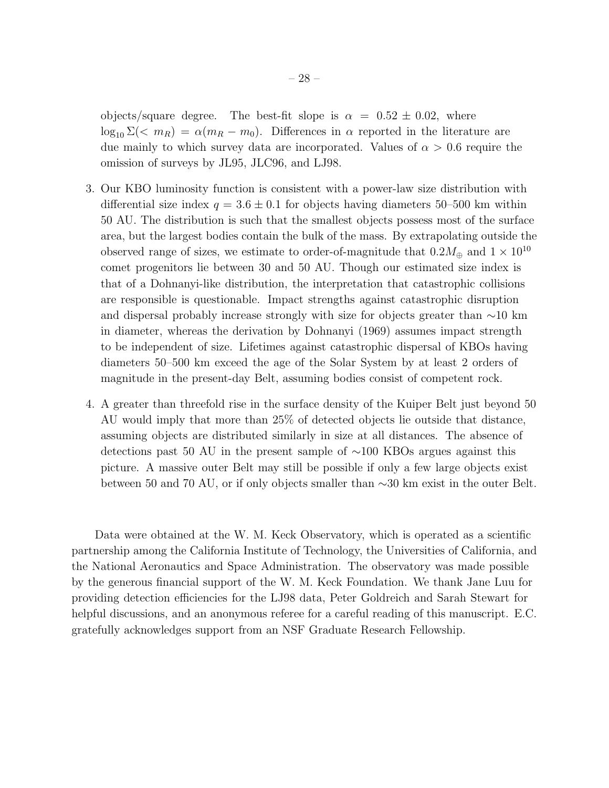objects/square degree. The best-fit slope is  $\alpha = 0.52 \pm 0.02$ , where  $\log_{10} \Sigma$ (<  $m_R$ ) =  $\alpha$ ( $m_R - m_0$ ). Differences in  $\alpha$  reported in the literature are due mainly to which survey data are incorporated. Values of  $\alpha > 0.6$  require the omission of surveys by JL95, JLC96, and LJ98.

- 3. Our KBO luminosity function is consistent with a power-law size distribution with differential size index  $q = 3.6 \pm 0.1$  for objects having diameters 50–500 km within 50 AU. The distribution is such that the smallest objects possess most of the surface area, but the largest bodies contain the bulk of the mass. By extrapolating outside the observed range of sizes, we estimate to order-of-magnitude that  $0.2M_{\oplus}$  and  $1 \times 10^{10}$ comet progenitors lie between 30 and 50 AU. Though our estimated size index is that of a Dohnanyi-like distribution, the interpretation that catastrophic collisions are responsible is questionable. Impact strengths against catastrophic disruption and dispersal probably increase strongly with size for objects greater than ∼10 km in diameter, whereas the derivation by Dohnanyi (1969) assumes impact strength to be independent of size. Lifetimes against catastrophic dispersal of KBOs having diameters 50–500 km exceed the age of the Solar System by at least 2 orders of magnitude in the present-day Belt, assuming bodies consist of competent rock.
- 4. A greater than threefold rise in the surface density of the Kuiper Belt just beyond 50 AU would imply that more than 25% of detected objects lie outside that distance, assuming objects are distributed similarly in size at all distances. The absence of detections past 50 AU in the present sample of ∼100 KBOs argues against this picture. A massive outer Belt may still be possible if only a few large objects exist between 50 and 70 AU, or if only objects smaller than ∼30 km exist in the outer Belt.

Data were obtained at the W. M. Keck Observatory, which is operated as a scientific partnership among the California Institute of Technology, the Universities of California, and the National Aeronautics and Space Administration. The observatory was made possible by the generous financial support of the W. M. Keck Foundation. We thank Jane Luu for providing detection efficiencies for the LJ98 data, Peter Goldreich and Sarah Stewart for helpful discussions, and an anonymous referee for a careful reading of this manuscript. E.C. gratefully acknowledges support from an NSF Graduate Research Fellowship.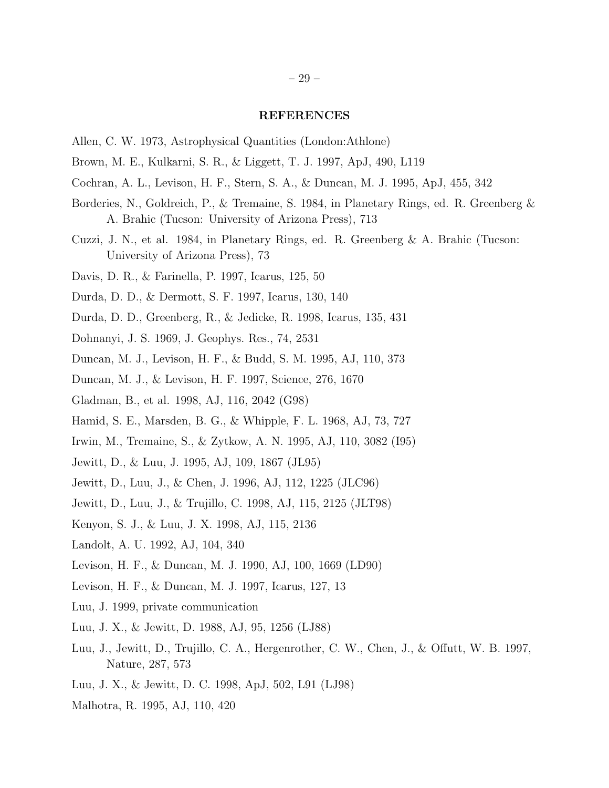# REFERENCES

- Allen, C. W. 1973, Astrophysical Quantities (London:Athlone)
- Brown, M. E., Kulkarni, S. R., & Liggett, T. J. 1997, ApJ, 490, L119
- Cochran, A. L., Levison, H. F., Stern, S. A., & Duncan, M. J. 1995, ApJ, 455, 342
- Borderies, N., Goldreich, P., & Tremaine, S. 1984, in Planetary Rings, ed. R. Greenberg & A. Brahic (Tucson: University of Arizona Press), 713
- Cuzzi, J. N., et al. 1984, in Planetary Rings, ed. R. Greenberg & A. Brahic (Tucson: University of Arizona Press), 73
- Davis, D. R., & Farinella, P. 1997, Icarus, 125, 50
- Durda, D. D., & Dermott, S. F. 1997, Icarus, 130, 140
- Durda, D. D., Greenberg, R., & Jedicke, R. 1998, Icarus, 135, 431
- Dohnanyi, J. S. 1969, J. Geophys. Res., 74, 2531
- Duncan, M. J., Levison, H. F., & Budd, S. M. 1995, AJ, 110, 373
- Duncan, M. J., & Levison, H. F. 1997, Science, 276, 1670
- Gladman, B., et al. 1998, AJ, 116, 2042 (G98)
- Hamid, S. E., Marsden, B. G., & Whipple, F. L. 1968, AJ, 73, 727
- Irwin, M., Tremaine, S., & Zytkow, A. N. 1995, AJ, 110, 3082 (I95)
- Jewitt, D., & Luu, J. 1995, AJ, 109, 1867 (JL95)
- Jewitt, D., Luu, J., & Chen, J. 1996, AJ, 112, 1225 (JLC96)
- Jewitt, D., Luu, J., & Trujillo, C. 1998, AJ, 115, 2125 (JLT98)
- Kenyon, S. J., & Luu, J. X. 1998, AJ, 115, 2136
- Landolt, A. U. 1992, AJ, 104, 340
- Levison, H. F., & Duncan, M. J. 1990, AJ, 100, 1669 (LD90)
- Levison, H. F., & Duncan, M. J. 1997, Icarus, 127, 13
- Luu, J. 1999, private communication
- Luu, J. X., & Jewitt, D. 1988, AJ, 95, 1256 (LJ88)
- Luu, J., Jewitt, D., Trujillo, C. A., Hergenrother, C. W., Chen, J., & Offutt, W. B. 1997, Nature, 287, 573
- Luu, J. X., & Jewitt, D. C. 1998, ApJ, 502, L91 (LJ98)
- Malhotra, R. 1995, AJ, 110, 420